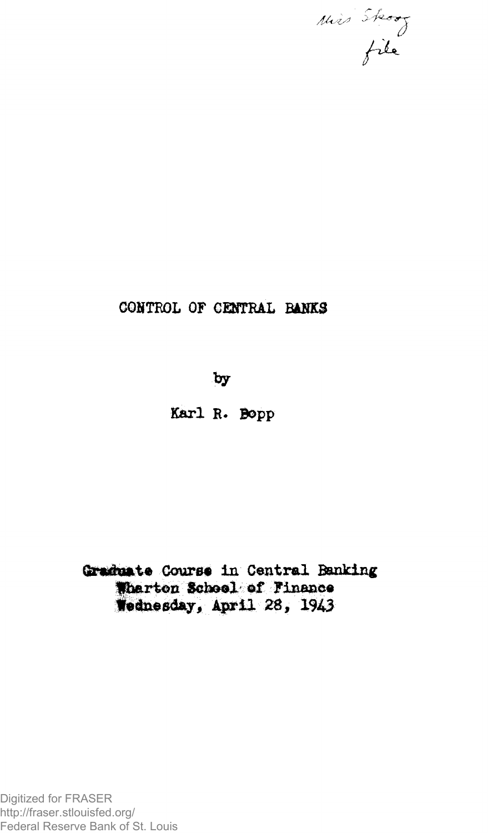

# CONTROL OF CENTRAL BANKS

 $by$ 

Karl R. Bopp

Graduate Course in Central Banking Wharton School of Finance Wednesday, April 28, 1943

Digitized for FRASER http://fraser.stlouisfed.org/ Federal Reserve Bank of St. Louis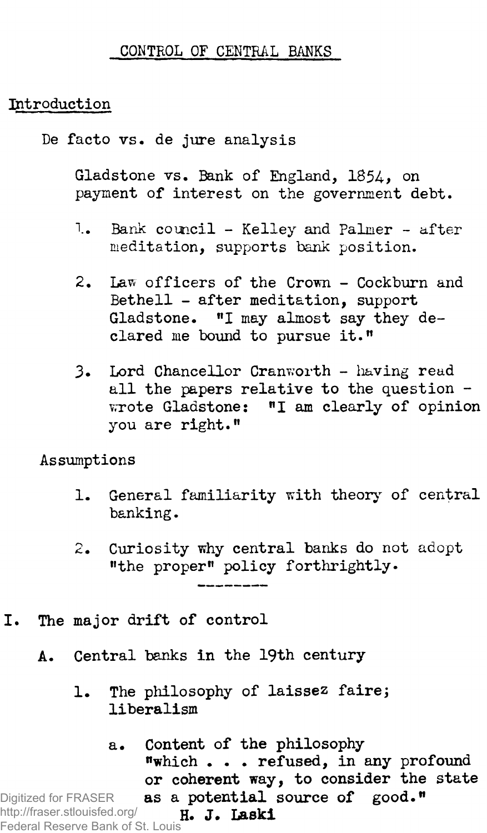### **CONTROL OF CENTRAL BANKS**

## **Introduction**

**De facto vs. de jure analysis**

**Gladstone vs. Bank of England, 1***85A>* **on payment of interest on the government debt.**

- **1. Bank council Kelley and Palmer after meditation, supports bank position.**
- **2. Law officers of the Crown Cockburn and Bethell - after meditation, support Gladstone. "I may almost say they declared me bound to pursue it."**
- **3. Lord Chancellor Cranworth having read all the papers relative to the question vrrote Gladstone: "I am clearly of opinion you are right."**

**Assumptions**

- **1. General familiarity with theory of central banking.**
- **2. Curiosity why central banks do not adopt "the proper" policy forthrightly-**
- **I. The major drift of control**
	- **A. Central banks in the 19th century**
		- **1. The philosophy of laissez fairej liberalism**

**a. Content of the philosophy "which . . . refused, in any profound or coherent way, to consider the state as a potential source of good." H. J. Laski** Digitized for FRASER http://fraser.stlouisfed.org/ Federal Reserve Bank of St. Louis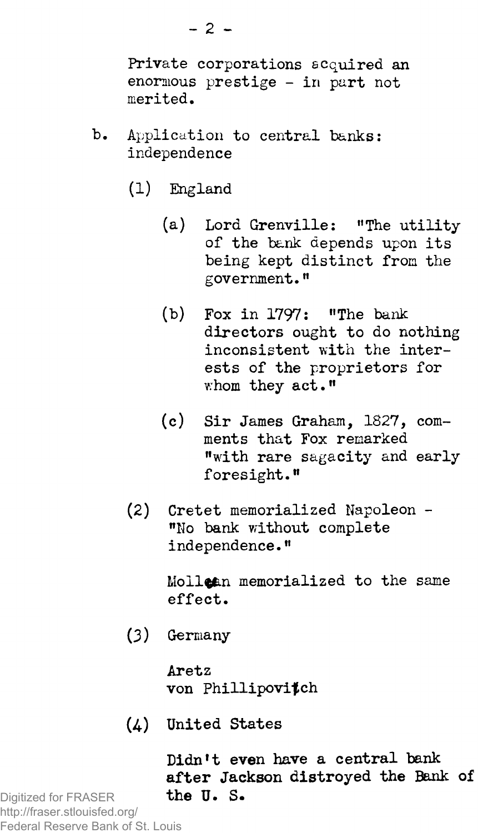**Private corporations acquired an enormous prestige - in part not merited.**

- **b. Application to central banks: independence**
	- **(1) England**
		- **(a) Lord Grenville: "The utility of the bank depends upon its being kept distinct from the government."**
		- **(b) Fox in 1797: "The bank directors ought to do nothing inconsistent with the interests of the proprietors for whom they act."**
		- **(c) Sir James Graham, 1827, comments that Fox remarked "with rare sagacity and early foresight."**
	- **(2) Cretet memorialized Napoleon - "No bank without complete independence."**

**Molltfen memorialized to the same effect.**

**(3) Germany**

**Aretz von Phillipovifch**

**(4.) United States**

**Didn\*t even have a central bank after Jackson distroyed the Bank of the U. S.**

Digitized for FRASER http://fraser.stlouisfed.org/ Federal Reserve Bank of St. Louis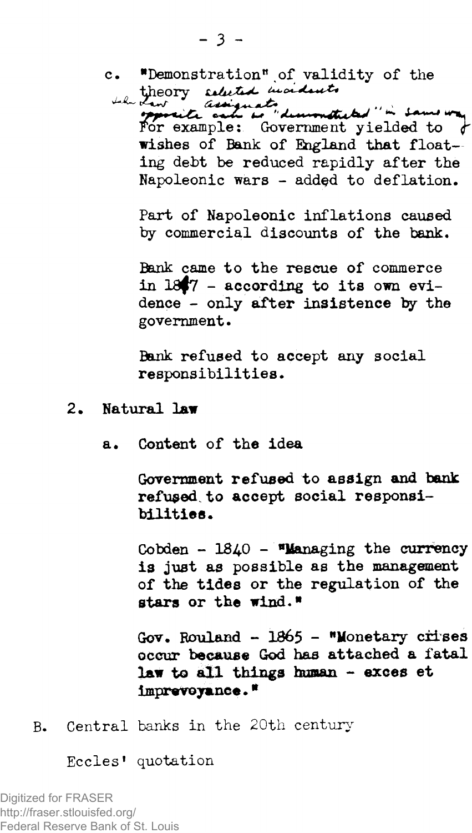**c. "Demonstration".of validity of the**

Law assignate dimensional " in Same was For example: Government yielded to  $\downarrow$ **wishes of Bank of England that floating debt be reduced rapidly after the** Napoleonic wars - added to deflation.

**Part of Napoleonic inflations caused by commercial discounts of the bank.**

**Bank came to the rescue of commerce in iaf7 - according to its own evidence - only after insistence by the government.**

**Bank refused to accept any social responsibilities.**

- **2 Natural law**
	- **a. Content of the idea**

**Government refused to assign and bank refused to accept social responsibilities.**

**Cobden - 18^0 - "Managing the currency is just as possible as the management of the tides or the regulation of the stars or the wind."**

**Gov, Rouland - 1865 - "Monetary crises occur because God has attached a fatal law to all things human - exees et imprevoyanee. \***

**B. Central banks in the 20th century**

**Eccles1 quotation**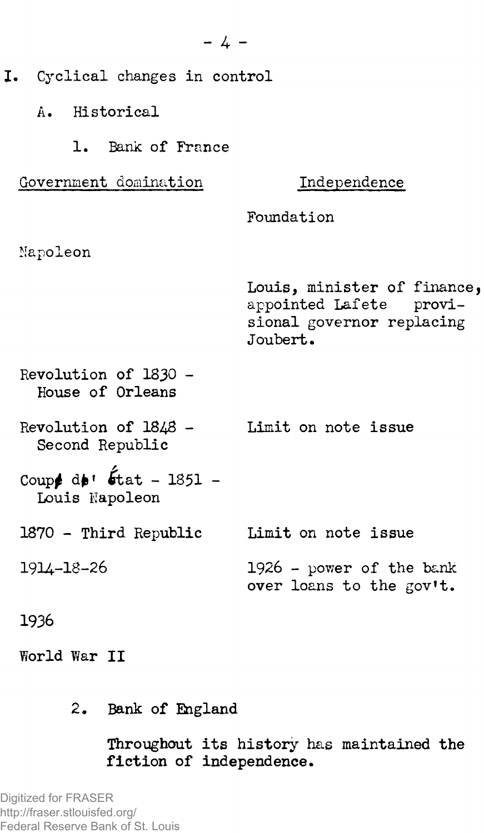**I. Cyclical changes in control A. Historical 1. Bank of France Government domination Napoleon Revolution of 1830 - House of Orleans Revolution of 18^8 - Second Republic** Coup<sup>\$</sup> d**e**'  $\oint$ tat - 1851 -**Louis Napoleon 1870 - Third Republic 19U-18-26 1936 Independence Foundation Louis, minister of financej appointed Lafete provisional governor replacing Joubert. Limit on note issue Limit on note issue 1926 - power of the bank over loans to the gov't.**

- **World War II**
	- 2. Bank of England

**Throughout its history has maintained the fiction of independence.**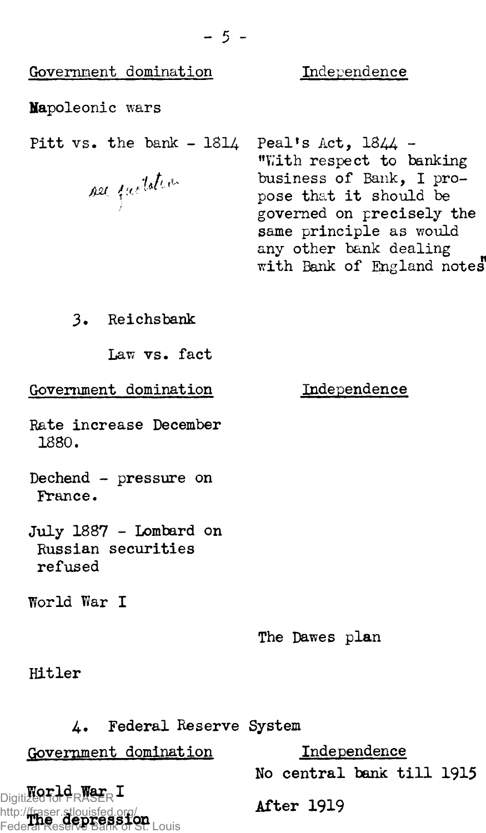| Government domination                                   | Independence                                                                                                                                                                                                           |
|---------------------------------------------------------|------------------------------------------------------------------------------------------------------------------------------------------------------------------------------------------------------------------------|
| Mapoleonic wars                                         |                                                                                                                                                                                                                        |
| Pitt $vs.$ the bank $-1814$<br>see factotion            | Peal's Act, $1844 -$<br>"With respect to banking<br>business of Bank, I pro-<br>pose that it should be<br>governed on precisely the<br>same principle as would<br>any other bank dealing<br>with Bank of England notes |
| 3. Reichsbank                                           |                                                                                                                                                                                                                        |
| Law vs. fact                                            |                                                                                                                                                                                                                        |
| Government domination                                   | Independence                                                                                                                                                                                                           |
| Rate increase December<br>1880.                         |                                                                                                                                                                                                                        |
| Dechend - pressure on<br>France.                        |                                                                                                                                                                                                                        |
| July 1887 - Lombard on<br>Russian securities<br>refused |                                                                                                                                                                                                                        |
| World War I                                             |                                                                                                                                                                                                                        |

**The Dawes plan**

**Hitler**

| 4. Federal Reserve System                                                                     |                           |
|-----------------------------------------------------------------------------------------------|---------------------------|
| Government domination                                                                         | Independence              |
|                                                                                               | No central bank till 1915 |
| Digitized to the Negr I<br>http://fraser.stlouisfed.org/<br>Federal Reserve Bank of St. Louis | <b>After 1919</b>         |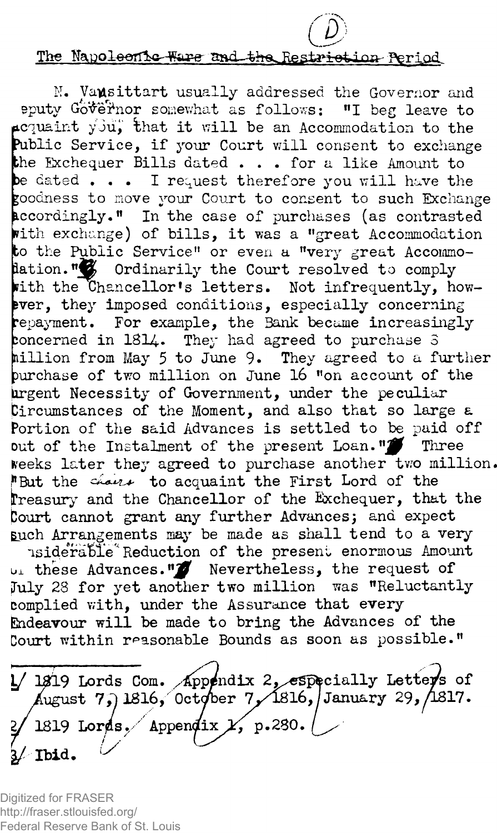### The Napoleonic Ware and the Restriction Period.

N. Va**usittart** usually addressed the Governor and **eputy Go^eifrior somewhat as follows: "I beg leave to icquaint yJuj** that it will be an Accommodation to the **?ublic Service, if your Court will consent to exchange the Exchequer Bills dated . . . for a like Amount to De dated . . . I request therefore you will have the goodness to move your Court to consent to such Exchange accordingly." In the case of purchases (as contrasted Pith exchange) of bills, it was a "great Accommodation** to the Public Service" or even a "very great Accommo**lation."** Ordinarily the Court resolved to comply with the Chancellor's letters. Not infrequently, how**ever, they imposed conditions, especially concerning repayment. For example, the Bank became increasingly :oncerned in 1814. They had agreed to purchase 3 nillion from May 5 to June 9» They agreed to a further Purchase of two million on June 16 "on account of the urgent Necessity of Government, -under the peculiar Circumstances of the Moment, and also that so large a Portion of the said Advances is settled to be paid off** out of the Instalment of the present Loan."<sup>1</sup> Three **Keeks later they agreed to purchase another two million ^But the to acquaint the First Lord of the treasury and the Chancellor of the Exchequer, that the fcourt cannot grant any further Advances; and expect Euch Arrangements may be made as shall tend to a very -lsideraftle^ Reduction of the present enormous Amount**

l>± **these Advances.** *\*W* **Nevertheless, the request of July 28 for yet another two million was "Reluctantly complied with, under the Assurance that every Endeavour will be made to bring the Advances of the Court within reasonable Bounds as soon as possible."**

1/1919 Lords Com. Appendix 2, especially Letters of August 7, 1816, October 7, 1816, January 29, 1817.  $\sqrt{1819 \text{ Lords}}$ , Appendix  $\chi$ , p.280. Ibid.

Digitized for FRASER http://fraser.stlouisfed.org/ Federal Reserve Bank of St. Louis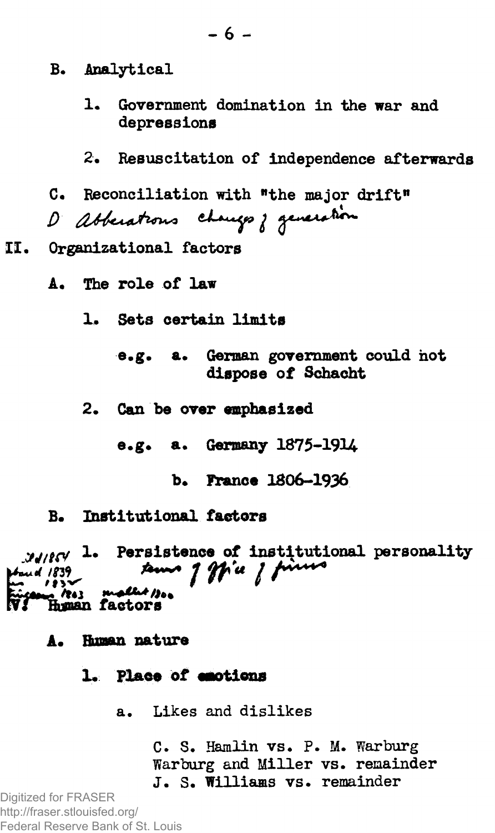- B. Analytical
	- 1. Government domination in the war and depressions
	- Resuscitation of independence afterwards  $2 -$
- Reconciliation with "the major drift"

D abbenations changes ; generation

- II. Organizational factors
	- A. The role of law
		- 1. Sets certain limits
			- e.g. a. German government could not dispose of Schacht
		- 2. Can be over emphasized
			- e.g. a. Germany 1875-1914
				- b. France 1806-1936
	- B. Institutional factors

MARY 1. Persistence of institutional personality sems of ffice of fines **Wared** 1839 ang 1843 mallet 1304

- A. Human nature
	- 1. Place of emotions
		- a. Likes and dislikes

C. S. Hamlin vs. P. M. Warburg Warburg and Miller vs. remainder J. S. Williams vs. remainder

Digitized for FRASER http://fraser.stlouisfed.org/ Federal Reserve Bank of St. Louis